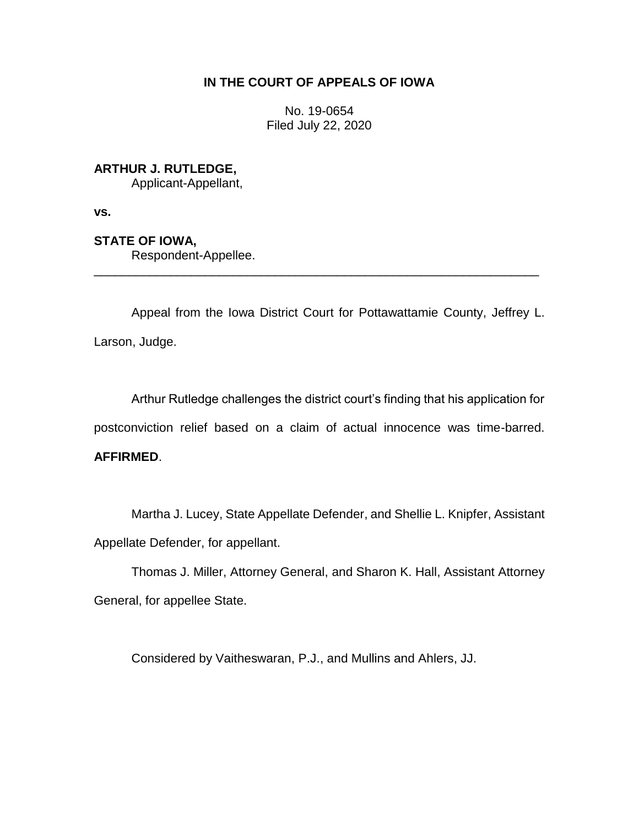# **IN THE COURT OF APPEALS OF IOWA**

No. 19-0654 Filed July 22, 2020

**ARTHUR J. RUTLEDGE,**

Applicant-Appellant,

**vs.**

**STATE OF IOWA,**

Respondent-Appellee.

Appeal from the Iowa District Court for Pottawattamie County, Jeffrey L. Larson, Judge.

\_\_\_\_\_\_\_\_\_\_\_\_\_\_\_\_\_\_\_\_\_\_\_\_\_\_\_\_\_\_\_\_\_\_\_\_\_\_\_\_\_\_\_\_\_\_\_\_\_\_\_\_\_\_\_\_\_\_\_\_\_\_\_\_

Arthur Rutledge challenges the district court's finding that his application for postconviction relief based on a claim of actual innocence was time-barred.

# **AFFIRMED**.

Martha J. Lucey, State Appellate Defender, and Shellie L. Knipfer, Assistant Appellate Defender, for appellant.

Thomas J. Miller, Attorney General, and Sharon K. Hall, Assistant Attorney General, for appellee State.

Considered by Vaitheswaran, P.J., and Mullins and Ahlers, JJ.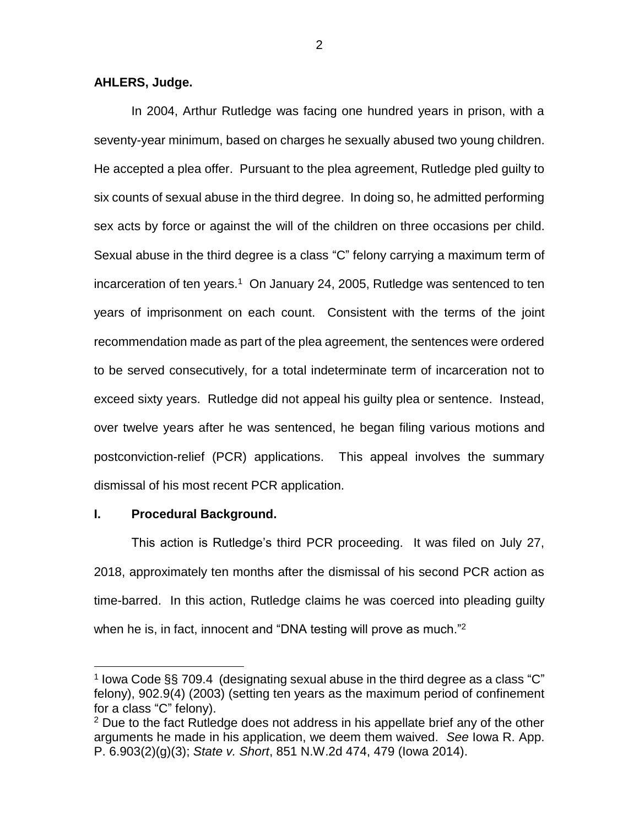## **AHLERS, Judge.**

In 2004, Arthur Rutledge was facing one hundred years in prison, with a seventy-year minimum, based on charges he sexually abused two young children. He accepted a plea offer. Pursuant to the plea agreement, Rutledge pled guilty to six counts of sexual abuse in the third degree. In doing so, he admitted performing sex acts by force or against the will of the children on three occasions per child. Sexual abuse in the third degree is a class "C" felony carrying a maximum term of incarceration of ten years.<sup>1</sup> On January 24, 2005, Rutledge was sentenced to ten years of imprisonment on each count. Consistent with the terms of the joint recommendation made as part of the plea agreement, the sentences were ordered to be served consecutively, for a total indeterminate term of incarceration not to exceed sixty years. Rutledge did not appeal his guilty plea or sentence. Instead, over twelve years after he was sentenced, he began filing various motions and postconviction-relief (PCR) applications. This appeal involves the summary dismissal of his most recent PCR application.

## **I. Procedural Background.**

 $\overline{a}$ 

This action is Rutledge's third PCR proceeding. It was filed on July 27, 2018, approximately ten months after the dismissal of his second PCR action as time-barred. In this action, Rutledge claims he was coerced into pleading guilty when he is, in fact, innocent and "DNA testing will prove as much."<sup>2</sup>

2

<sup>&</sup>lt;sup>1</sup> lowa Code §§ 709.4 (designating sexual abuse in the third degree as a class "C" felony), 902.9(4) (2003) (setting ten years as the maximum period of confinement for a class "C" felony).

 $2$  Due to the fact Rutledge does not address in his appellate brief any of the other arguments he made in his application, we deem them waived. *See* Iowa R. App. P. 6.903(2)(g)(3); *State v. Short*, 851 N.W.2d 474, 479 (Iowa 2014).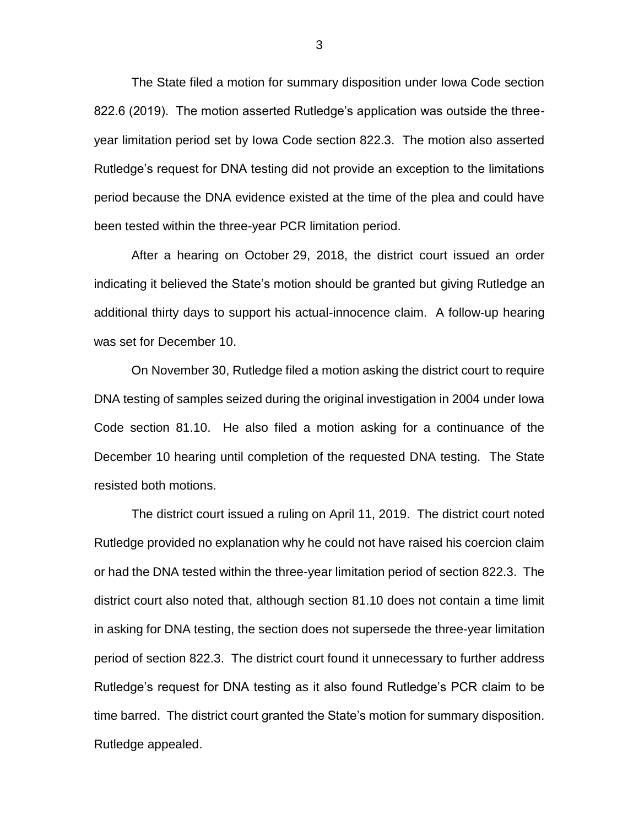The State filed a motion for summary disposition under Iowa Code section 822.6 (2019). The motion asserted Rutledge's application was outside the threeyear limitation period set by Iowa Code section 822.3. The motion also asserted Rutledge's request for DNA testing did not provide an exception to the limitations period because the DNA evidence existed at the time of the plea and could have been tested within the three-year PCR limitation period.

After a hearing on October 29, 2018, the district court issued an order indicating it believed the State's motion should be granted but giving Rutledge an additional thirty days to support his actual-innocence claim. A follow-up hearing was set for December 10.

On November 30, Rutledge filed a motion asking the district court to require DNA testing of samples seized during the original investigation in 2004 under Iowa Code section 81.10. He also filed a motion asking for a continuance of the December 10 hearing until completion of the requested DNA testing. The State resisted both motions.

The district court issued a ruling on April 11, 2019. The district court noted Rutledge provided no explanation why he could not have raised his coercion claim or had the DNA tested within the three-year limitation period of section 822.3. The district court also noted that, although section 81.10 does not contain a time limit in asking for DNA testing, the section does not supersede the three-year limitation period of section 822.3. The district court found it unnecessary to further address Rutledge's request for DNA testing as it also found Rutledge's PCR claim to be time barred. The district court granted the State's motion for summary disposition. Rutledge appealed.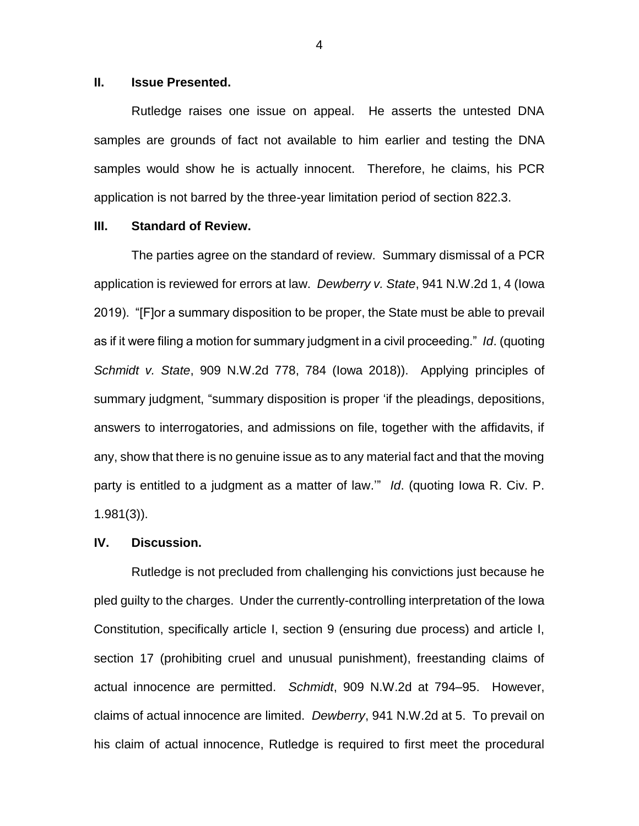#### **II. Issue Presented.**

Rutledge raises one issue on appeal. He asserts the untested DNA samples are grounds of fact not available to him earlier and testing the DNA samples would show he is actually innocent. Therefore, he claims, his PCR application is not barred by the three-year limitation period of section 822.3.

## **III. Standard of Review.**

The parties agree on the standard of review. Summary dismissal of a PCR application is reviewed for errors at law. *Dewberry v. State*, 941 N.W.2d 1, 4 (Iowa 2019). "[F]or a summary disposition to be proper, the State must be able to prevail as if it were filing a motion for summary judgment in a civil proceeding." *Id*. (quoting *Schmidt v. State*, 909 N.W.2d 778, 784 (Iowa 2018)). Applying principles of summary judgment, "summary disposition is proper 'if the pleadings, depositions, answers to interrogatories, and admissions on file, together with the affidavits, if any, show that there is no genuine issue as to any material fact and that the moving party is entitled to a judgment as a matter of law.'" *Id*. (quoting Iowa R. Civ. P. 1.981(3)).

#### **IV. Discussion.**

Rutledge is not precluded from challenging his convictions just because he pled guilty to the charges. Under the currently-controlling interpretation of the Iowa Constitution, specifically article I, section 9 (ensuring due process) and article I, section 17 (prohibiting cruel and unusual punishment), freestanding claims of actual innocence are permitted. *Schmidt*, 909 N.W.2d at 794–95. However, claims of actual innocence are limited. *Dewberry*, 941 N.W.2d at 5. To prevail on his claim of actual innocence, Rutledge is required to first meet the procedural

4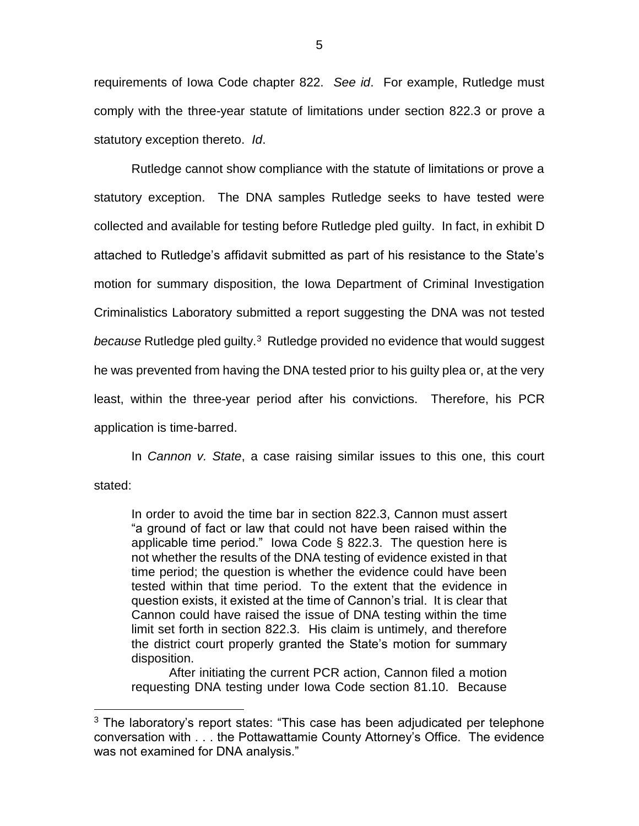requirements of Iowa Code chapter 822. *See id*. For example, Rutledge must comply with the three-year statute of limitations under section 822.3 or prove a statutory exception thereto. *Id*.

Rutledge cannot show compliance with the statute of limitations or prove a statutory exception. The DNA samples Rutledge seeks to have tested were collected and available for testing before Rutledge pled guilty. In fact, in exhibit D attached to Rutledge's affidavit submitted as part of his resistance to the State's motion for summary disposition, the Iowa Department of Criminal Investigation Criminalistics Laboratory submitted a report suggesting the DNA was not tested because Rutledge pled guilty.<sup>3</sup> Rutledge provided no evidence that would suggest he was prevented from having the DNA tested prior to his guilty plea or, at the very least, within the three-year period after his convictions. Therefore, his PCR application is time-barred.

In *Cannon v. State*, a case raising similar issues to this one, this court stated:

In order to avoid the time bar in section 822.3, Cannon must assert "a ground of fact or law that could not have been raised within the applicable time period." Iowa Code § 822.3. The question here is not whether the results of the DNA testing of evidence existed in that time period; the question is whether the evidence could have been tested within that time period. To the extent that the evidence in question exists, it existed at the time of Cannon's trial. It is clear that Cannon could have raised the issue of DNA testing within the time limit set forth in section 822.3. His claim is untimely, and therefore the district court properly granted the State's motion for summary disposition.

After initiating the current PCR action, Cannon filed a motion requesting DNA testing under Iowa Code section 81.10. Because

 $\overline{a}$ 

 $3$  The laboratory's report states: "This case has been adjudicated per telephone conversation with . . . the Pottawattamie County Attorney's Office. The evidence was not examined for DNA analysis."